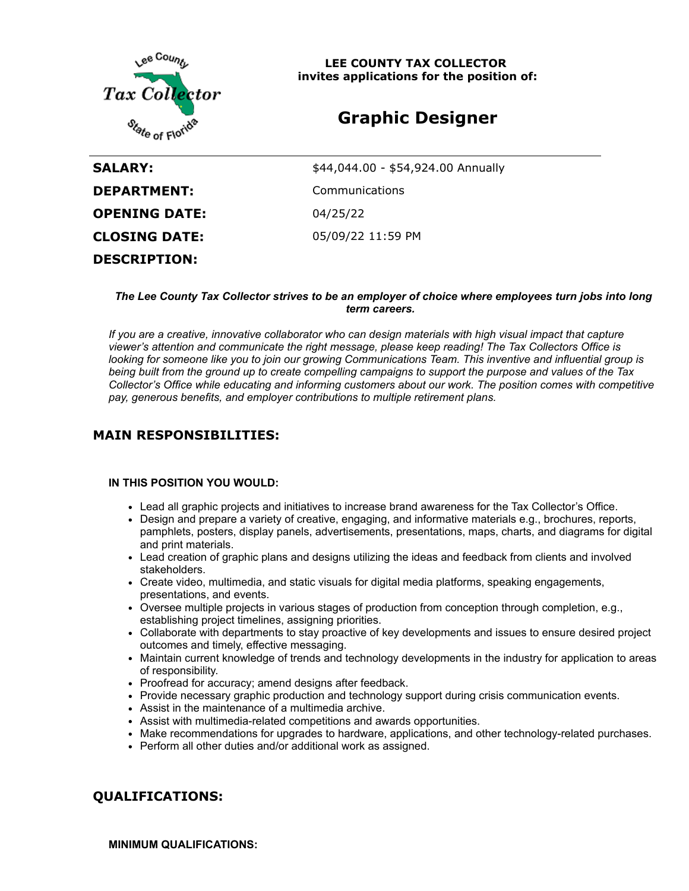

**LEE COUNTY TAX COLLECTOR invites applications for the position of:**

# **Graphic Designer**

| SALARY:              | \$44,044.00 - \$54,924.00 Annually |
|----------------------|------------------------------------|
| <b>DEPARTMENT:</b>   | Communications                     |
| <b>OPENING DATE:</b> | 04/25/22                           |
| <b>CLOSING DATE:</b> | 05/09/22 11:59 PM                  |
| <b>DESCRIPTION:</b>  |                                    |

#### *The Lee County Tax Collector strives to be an employer of choice where employees turn jobs into long term careers.*

*If you are a creative, innovative collaborator who can design materials with high visual impact that capture viewer's attention and communicate the right message, please keep reading! The Tax Collectors Office is looking for someone like you to join our growing Communications Team. This inventive and influential group is being built from the ground up to create compelling campaigns to support the purpose and values of the Tax Collector's Office while educating and informing customers about our work. The position comes with competitive pay, generous benefits, and employer contributions to multiple retirement plans.*

### **MAIN RESPONSIBILITIES:**

#### **IN THIS POSITION YOU WOULD:**

- Lead all graphic projects and initiatives to increase brand awareness for the Tax Collector's Office.
- Design and prepare a variety of creative, engaging, and informative materials e.g., brochures, reports, pamphlets, posters, display panels, advertisements, presentations, maps, charts, and diagrams for digital and print materials.
- Lead creation of graphic plans and designs utilizing the ideas and feedback from clients and involved stakeholders.
- Create video, multimedia, and static visuals for digital media platforms, speaking engagements, presentations, and events.
- Oversee multiple projects in various stages of production from conception through completion, e.g., establishing project timelines, assigning priorities.
- Collaborate with departments to stay proactive of key developments and issues to ensure desired project outcomes and timely, effective messaging.
- Maintain current knowledge of trends and technology developments in the industry for application to areas of responsibility.
- Proofread for accuracy; amend designs after feedback.
- Provide necessary graphic production and technology support during crisis communication events.
- Assist in the maintenance of a multimedia archive.
- Assist with multimedia-related competitions and awards opportunities.
- Make recommendations for upgrades to hardware, applications, and other technology-related purchases.
- Perform all other duties and/or additional work as assigned.

## **QUALIFICATIONS:**

**MINIMUM QUALIFICATIONS:**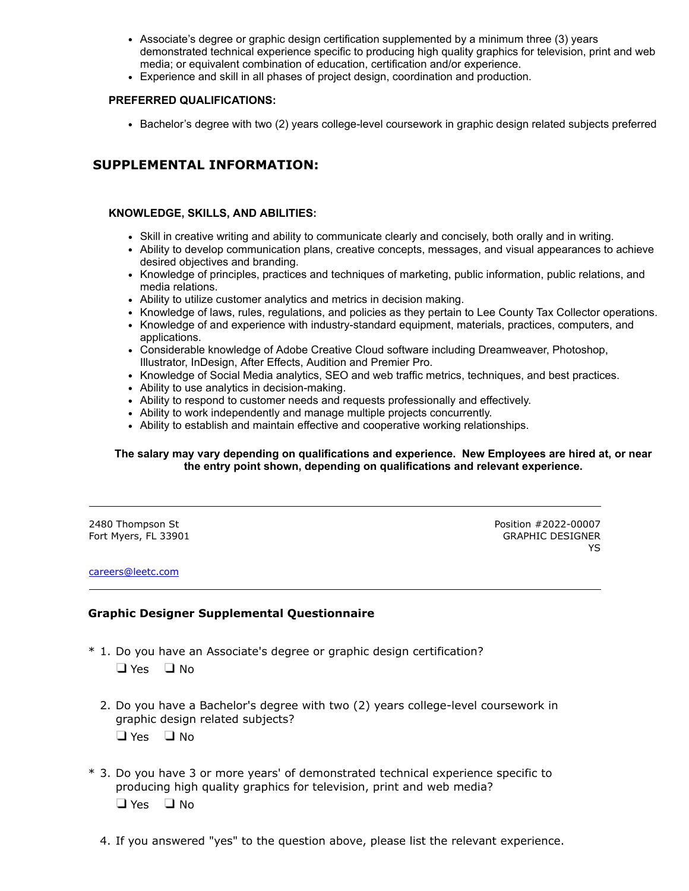- Associate's degree or graphic design certification supplemented by a minimum three (3) years demonstrated technical experience specific to producing high quality graphics for television, print and web media; or equivalent combination of education, certification and/or experience.
- Experience and skill in all phases of project design, coordination and production.

### **PREFERRED QUALIFICATIONS:**

Bachelor's degree with two (2) years college-level coursework in graphic design related subjects preferred

# **SUPPLEMENTAL INFORMATION:**

### **KNOWLEDGE, SKILLS, AND ABILITIES:**

- Skill in creative writing and ability to communicate clearly and concisely, both orally and in writing.
- Ability to develop communication plans, creative concepts, messages, and visual appearances to achieve desired objectives and branding.
- Knowledge of principles, practices and techniques of marketing, public information, public relations, and media relations.
- Ability to utilize customer analytics and metrics in decision making.
- Knowledge of laws, rules, regulations, and policies as they pertain to Lee County Tax Collector operations.
- Knowledge of and experience with industry-standard equipment, materials, practices, computers, and applications.
- Considerable knowledge of Adobe Creative Cloud software including Dreamweaver, Photoshop, Illustrator, InDesign, After Effects, Audition and Premier Pro.
- Knowledge of Social Media analytics, SEO and web traffic metrics, techniques, and best practices.
- Ability to use analytics in decision-making.
- Ability to respond to customer needs and requests professionally and effectively.
- Ability to work independently and manage multiple projects concurrently.
- Ability to establish and maintain effective and cooperative working relationships.

### **The salary may vary depending on qualifications and experience. New Employees are hired at, or near the entry point shown, depending on qualifications and relevant experience.**

2480 Thompson St Fort Myers, FL 33901 Position #2022-00007 GRAPHIC DESIGNER YS

#### [careers@leetc.com](mailto:careers@leetc.com)

### **Graphic Designer Supplemental Questionnaire**

\* 1. Do you have an Associate's degree or graphic design certification?

 $\Box$  Yes  $\Box$  No

- 2. Do you have a Bachelor's degree with two (2) years college-level coursework in graphic design related subjects?
	- $\Box$  Yes  $\Box$  No
- \* 3. Do you have 3 or more years' of demonstrated technical experience specific to producing high quality graphics for television, print and web media?  $\Box$  Yes  $\Box$  No
	- 4. If you answered "yes" to the question above, please list the relevant experience.